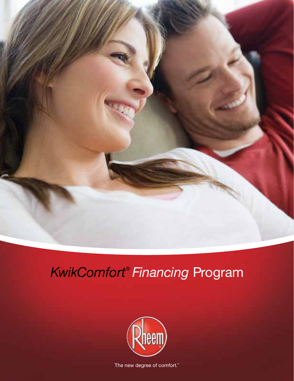

## *KwikComfort® Financing* Program



The new degree of comfort.<sup>"</sup>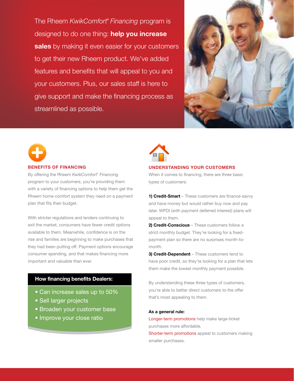The Rheem *KwikComfort® Financing* program is designed to do one thing: **help you increase sales** by making it even easier for your customers to get their new Rheem product. We've added features and benefits that will appeal to you and your customers. Plus, our sales staff is here to give support and make the financing process as streamlined as possible.





#### **BENEFITS OF FINANCING** By offering the Rheem *KwikComfort® Financing*

program to your customers, you're providing them with a variety of financing options to help them get the Rheem home comfort system they need on a payment plan that fits their budget.

With stricter regulations and lenders continuing to exit the market, consumers have fewer credit options available to them. Meanwhile, confidence is on the rise and families are beginning to make purchases that they had been putting off. Payment options encourage consumer spending, and that makes financing more important and valuable than ever.

### **How financing benefits Dealers:**

- Can increase sales up to 50%
- Sell larger projects
- Broaden your customer base
- Improve your close ratio



#### **UNDERSTANDING YOUR CUSTOMERS**

When it comes to financing, there are three basic types of customers:

**1) Credit-Smart** – These customers are finance-savvy and have money but would rather buy now and pay later. WPDI (with payment deferred interest) plans will appeal to them.

**2) Credit-Conscious** – These customers follow a strict monthly budget. They're looking for a fixedpayment plan so there are no surprises month-tomonth.

**3) Credit-Dependent** – These customers tend to have poor credit, so they're looking for a plan that lets them make the lowest monthly payment possible.

By understanding these three types of customers, you're able to better direct customers to the offer that's most appealing to them.

#### **As a general rule:**

Longer-term promotions help make large-ticket purchases more affordable. Shorter-term promotions appeal to customers making

smaller purchases.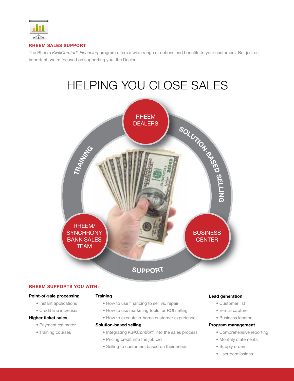

#### **RHEEM SALES SUPPORT**

The Rheem *KwikComfort® Financing* program offers a wide range of options and benefits to your customers. But just as important, we're focused on supporting you, the Dealer.

# HELPING YOU CLOSE SALES



#### **RHEEM SUPPORTS YOU WITH:**

#### **Point-of-sale processing**

- Instant applications
- Credit line increases

#### **Higher ticket sales**

- Payment estimator
- Training courses

#### **Training**

- How to use financing to sell vs. repair
- How to use marketing tools for ROI selling
- How to execute in-home customer experience

#### **Solution-based selling**

- Integrating KwikComfort® into the sales process
- Pricing credit into the job bid
- Selling to customers based on their needs

#### **Lead generation**

- Customer list
- E-mail capture
- Business locator

#### **Program management**

- Comprehensive reporting
- Monthly statements
- Supply orders
- User permissions